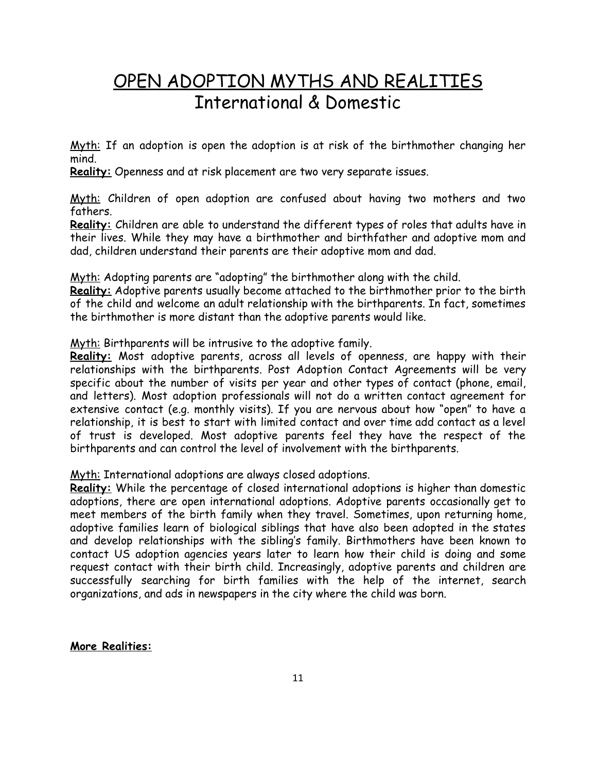## OPEN ADOPTION MYTHS AND REALITIES International & Domestic

Myth: If an adoption is open the adoption is at risk of the birthmother changing her mind.

**Reality:**Openness and at risk placement are two very separate issues.

Myth: Children of open adoption are confused about having two mothers and two fathers.

**Reality:** Children are able to understand the different types of roles that adults have in their lives. While they may have a birthmother and birthfather and adoptive mom and dad, children understand their parents are their adoptive mom and dad.

Myth: Adopting parents are "adopting" the birthmother along with the child.

**Reality:** Adoptive parents usually become attached to the birthmother prior to the birth of the child and welcome an adult relationship with the birthparents. In fact, sometimes the birthmother is more distant than the adoptive parents would like.

Myth: Birthparents will be intrusive to the adoptive family.

**Reality:** Most adoptive parents, across all levels of openness, are happy with their relationships with the birthparents. Post Adoption Contact Agreements will be very specific about the number of visits per year and other types of contact (phone, email, and letters). Most adoption professionals will not do a written contact agreement for extensive contact (e.g. monthly visits). If you are nervous about how "open" to have a relationship, it is best to start with limited contact and over time add contact as a level of trust is developed. Most adoptive parents feel they have the respect of the birthparents and can control the level of involvement with the birthparents.

Myth: International adoptions are always closed adoptions.

**Reality:** While the percentage of closed international adoptions is higher than domestic adoptions, there are open international adoptions. Adoptive parents occasionally get to meet members of the birth family when they travel. Sometimes, upon returning home, adoptive families learn of biological siblings that have also been adopted in the states and develop relationships with the sibling's family. Birthmothers have been known to contact US adoption agencies years later to learn how their child is doing and some request contact with their birth child. Increasingly, adoptive parents and children are successfully searching for birth families with the help of the internet, search organizations, and ads in newspapers in the city where the child was born.

**More Realities:**